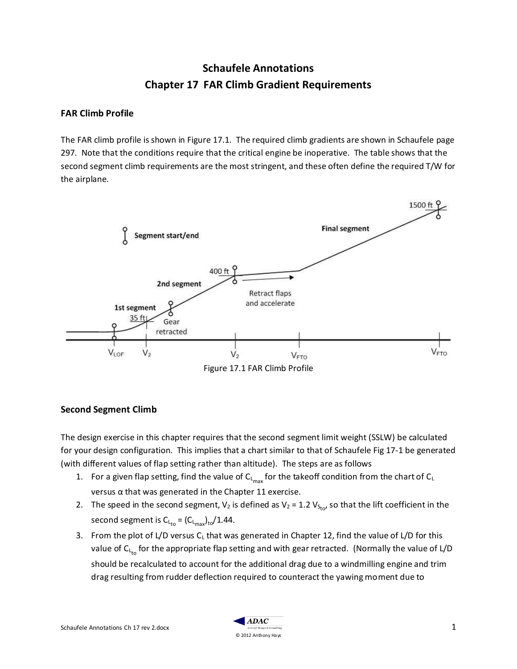# **Schaufele Annotations Chapter 17 FAR Climb Gradient Requirements**

#### **FAR Climb Profile**

The FAR climb profile is shown in Figure 17.1. The required climb gradients are shown in Schaufele page 297. Note that the conditions require that the critical engine be inoperative. The table shows that the second segment climb requirements are the most stringent, and these often define the required T/W for the airplane.



#### **Second Segment Climb**

The design exercise in this chapter requires that the second segment limit weight (SSLW) be calculated for your design configuration. This implies that a chart similar to that of Schaufele Fig 17-1 be generated (with different values of flap setting rather than altitude). The steps are as follows

- 1. For a given flap setting, find the value of  $C_{L_{\text{max}}}$  for the takeoff condition from the chart of  $C_L$ versus α that was generated in the Chapter 11 exercise.
- 2. The speed in the second segment,  $V_2$  is defined as  $V_2 = 1.2 V_{S_{\text{to}}}$  so that the lift coefficient in the second segment is C $_{\mathsf{L}_{\mathsf{to}}}$  = (C $_{\mathsf{L}_{\mathsf{max}}})_{\mathsf{to}}/$ 1.44.
- 3. From the plot of L/D versus  $C_L$  that was generated in Chapter 12, find the value of L/D for this value of C<sub>L<sub>to</sub> for the appropriate flap setting and with gear retracted. (Normally the value of L/D</sub> should be recalculated to account for the additional drag due to a windmilling engine and trim drag resulting from rudder deflection required to counteract the yawing moment due to

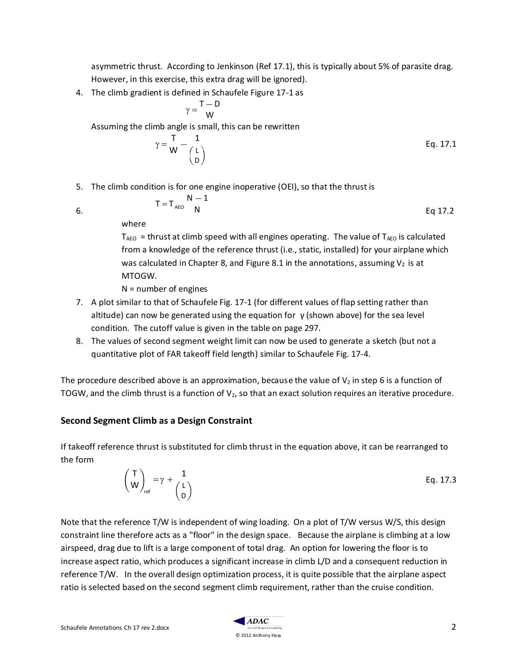asymmetric thrust. According to Jenkinson (Ref 17.1), this is typically about 5% of parasite drag. However, in this exercise, this extra drag will be ignored).

4. The climb gradient is defined in Schaufele Figure 17-1 as

$$
\gamma = \frac{T - D}{W}
$$

Assuming the climb angle is small, this can be rewritten

$$
\gamma = \frac{T}{W} - \begin{pmatrix} 1 \\ L \\ D \end{pmatrix}
$$
 Eq. 17.1

5. The climb condition is for one engine inoperative (OEI), so that the thrust is

$$
T = T_{\text{AEO}} \frac{N-1}{N}
$$
 Eq 17.2

6.

where

 $T_{ABO}$  = thrust at climb speed with all engines operating. The value of  $T_{ABO}$  is calculated from a knowledge of the reference thrust (i.e., static, installed) for your airplane which was calculated in Chapter 8, and Figure 8.1 in the annotations, assuming  $V_2$  is at MTOGW.

N = number of engines

- 7. A plot similar to that of Schaufele Fig. 17-1 (for different values of flap setting rather than altitude) can now be generated using the equation for  $\gamma$  (shown above) for the sea level condition. The cutoff value is given in the table on page 297.
- 8. The values of second segment weight limit can now be used to generate a sketch (but not a quantitative plot of FAR takeoff field length) similar to Schaufele Fig. 17-4.

The procedure described above is an approximation, because the value of  $V_2$  in step 6 is a function of TOGW, and the climb thrust is a function of  $V_2$ , so that an exact solution requires an iterative procedure.

## **Second Segment Climb as a Design Constraint**

If takeoff reference thrust is substituted for climb thrust in the equation above, it can be rearranged to the form

> T  $W\int_{\mathsf{ref}}$  $= \gamma + \frac{1}{4}$ L D Eq. 17.3

Note that the reference T/W is independent of wing loading. On a plot of T/W versus W/S, this design constraint line therefore acts as a "floor" in the design space. Because the airplane is climbing at a low airspeed, drag due to lift is a large component of total drag. An option for lowering the floor is to increase aspect ratio, which produces a significant increase in climb L/D and a consequent reduction in reference T/W. In the overall design optimization process, it is quite possible that the airplane aspect ratio is selected based on the second segment climb requirement, rather than the cruise condition.